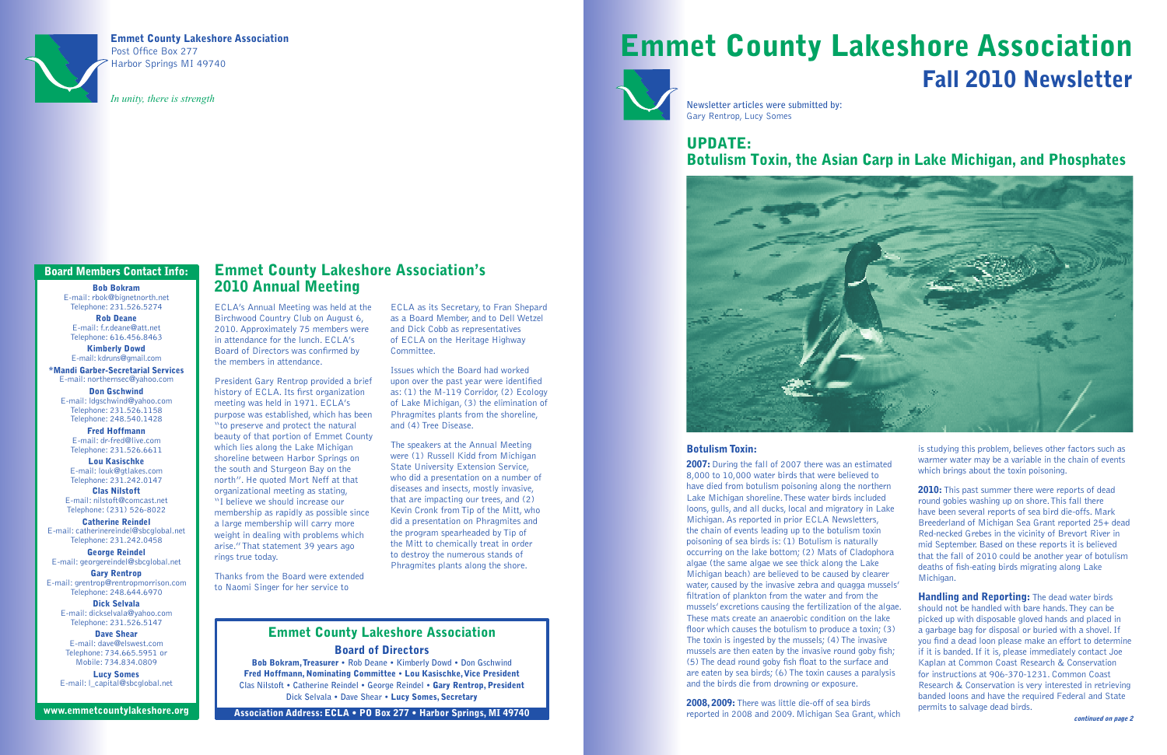# Emmet County Lakeshore Association Fall 2010 Newsletter





Emmet County Lakeshore Association Post Office Box 277 Harbor Springs MI 49740

*In unity, there is strength*

# Update:



## Botulism Toxin, the Asian Carp in Lake Michigan, and Phosphates

#### Botulism Toxin:

2007: During the fall of 2007 there was an estimated 8,000 to 10,000 water birds that were believed to have died from botulism poisoning along the northern Lake Michigan shoreline. These water birds included loons, gulls, and all ducks, local and migratory in Lake Michigan. As reported in prior ECLA Newsletters, the chain of events leading up to the botulism toxin poisoning of sea birds is: (1) Botulism is naturally occurring on the lake bottom; (2) Mats of Cladophora algae (the same algae we see thick along the Lake Michigan beach) are believed to be caused by clearer water, caused by the invasive zebra and quagga mussels' filtration of plankton from the water and from the mussels' excretions causing the fertilization of the algae. These mats create an anaerobic condition on the lake floor which causes the botulism to produce a toxin; (3) The toxin is ingested by the mussels; (4) The invasive mussels are then eaten by the invasive round goby fish; (5) The dead round goby fish float to the surface and are eaten by sea birds; (6) The toxin causes a paralysis and the birds die from drowning or exposure.

is studying this problem, believes other factors such as warmer water may be a variable in the chain of events which brings about the toxin poisoning.

2010: This past summer there were reports of dead round gobies washing up on shore. This fall there have been several reports of sea bird die-offs. Mark Breederland of Michigan Sea Grant reported 25+ dead Red-necked Grebes in the vicinity of Brevort River in mid September. Based on these reports it is believed that the fall of 2010 could be another year of botulism deaths of fish-eating birds migrating along Lake Michigan.

**Handling and Reporting:** The dead water birds should not be handled with bare hands. They can be picked up with disposable gloved hands and placed in a garbage bag for disposal or buried with a shovel. If you find a dead loon please make an effort to determine if it is banded. If it is, please immediately contact Joe Kaplan at Common Coast Research & Conservation for instructions at 906-370-1231. Common Coast Research & Conservation is very interested in retrieving banded loons and have the required Federal and State permits to salvage dead birds.

2008, 2009: There was little die-off of sea birds reported in 2008 and 2009. Michigan Sea Grant, which

**Newsletter articles were submitted by:** Gary Rentrop, Lucy Somes

## Emmet County Lakeshore Association Board of Directors

Bob Bokram, Treasurer **• Rob Deane • Kimberly Dowd • Don Gschwind** Fred Hoffmann, Nominating Committee **•** Lou Kasischke, Vice President **Clas Nilstoft • Catherine Reindel • George Reindel •** Gary Rentrop, President **Dick Selvala • Dave Shear •** Lucy Somes, Secretary

Association Address: ECLA • PO Box 277 • Harbor Springs, MI 49740

#### Board Members Contact Info:

Bob Bokram E-mail: rbok@bignetnorth.net Telephone: 231.526.5274

Rob Deane E-mail: f.r.deane@att.net Telephone: 616.456.8463

Kimberly Dowd E-mail: kdruns@gmail.com

\*Mandi Garber-Secretarial Services E-mail: northernsec@yahoo.com

Don Gschwind E-mail: ldgschwind@yahoo.com Telephone: 231.526.1158 Telephone: 248.540.1428

Fred Hoffmann E-mail: dr-fred@live.com Telephone: 231.526.6611

Lou Kasischke E-mail: louk@gtlakes.com Telephone: 231.242.0147

Clas Nilstoft E-mail: nilstoft@comcast.net Telephone: (231) 526-8022

Catherine Reindel E-mail: catherinereindel@sbcglobal.net Telephone: 231.242.0458

George Reindel E-mail: georgereindel@sbcglobal.net

Gary Rentrop E-mail: grentrop@rentropmorrison.com Telephone: 248.644.6970

Dick Selvala E-mail: dickselvala@yahoo.com Telephone: 231.526.5147

Dave Shear E-mail: dave@elswest.com Telephone: 734.665.5951 or Mobile: 734.834.0809

Lucy Somes E-mail: l\_capital@sbcglobal.net

www.emmetcountylakeshore.org

### Emmet County Lakeshore Association's 2010 Annual Meeting

ECLA's Annual Meeting was held at the Birchwood Country Club on August 6, 2010. Approximately 75 members were in attendance for the lunch. ECLA's Board of Directors was confirmed by the members in attendance.

President Gary Rentrop provided a brief history of ECLA. Its first organization meeting was held in 1971. ECLA's purpose was established, which has been "to preserve and protect the natural beauty of that portion of Emmet County which lies along the Lake Michigan shoreline between Harbor Springs on the south and Sturgeon Bay on the north". He quoted Mort Neff at that organizational meeting as stating, "I believe we should increase our membership as rapidly as possible since a large membership will carry more weight in dealing with problems which arise." That statement 39 years ago rings true today.

Thanks from the Board were extended to Naomi Singer for her service to

ECLA as its Secretary, to Fran Shepard as a Board Member, and to Dell Wetzel and Dick Cobb as representatives of ECLA on the Heritage Highway Committee.

Issues which the Board had worked upon over the past year were identified as: (1) the M-119 Corridor, (2) Ecology of Lake Michigan, (3) the elimination of Phragmites plants from the shoreline, and (4) Tree Disease.

The speakers at the Annual Meeting were (1) Russell Kidd from Michigan State University Extension Service, who did a presentation on a number of diseases and insects, mostly invasive, that are impacting our trees, and (2) Kevin Cronk from Tip of the Mitt, who did a presentation on Phragmites and the program spearheaded by Tip of the Mitt to chemically treat in order to destroy the numerous stands of Phragmites plants along the shore.